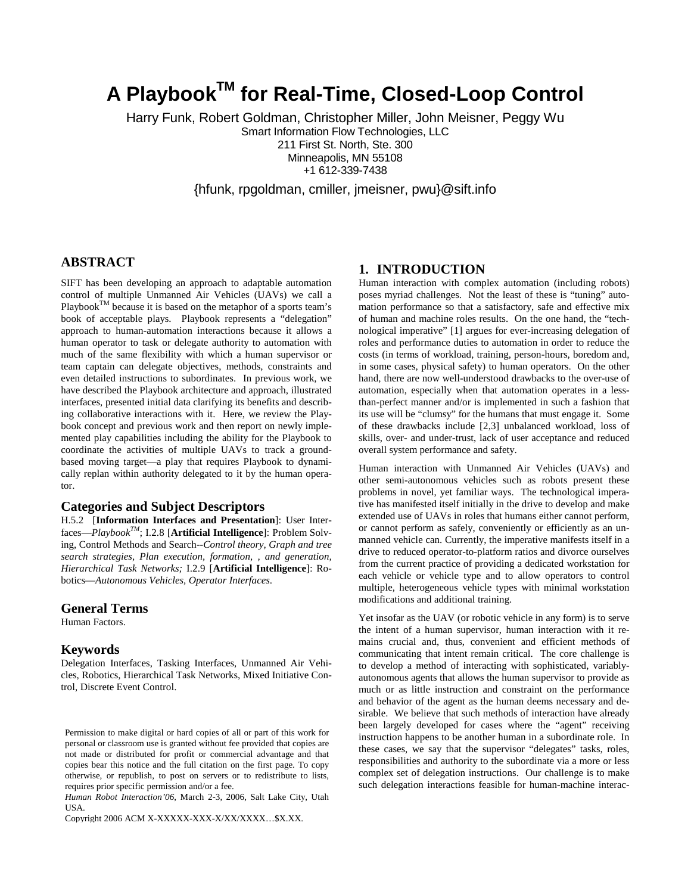# **A PlaybookTM for Real-Time, Closed-Loop Control**

Harry Funk, Robert Goldman, Christopher Miller, John Meisner, Peggy Wu Smart Information Flow Technologies, LLC 211 First St. North, Ste. 300 Minneapolis, MN 55108 +1 612-339-7438

{hfunk, rpgoldman, cmiller, jmeisner, pwu}@sift.info

## **ABSTRACT**

SIFT has been developing an approach to adaptable automation control of multiple Unmanned Air Vehicles (UAVs) we call a Playbook<sup>TM</sup> because it is based on the metaphor of a sports team's book of acceptable plays. Playbook represents a "delegation" approach to human-automation interactions because it allows a human operator to task or delegate authority to automation with much of the same flexibility with which a human supervisor or team captain can delegate objectives, methods, constraints and even detailed instructions to subordinates. In previous work, we have described the Playbook architecture and approach, illustrated interfaces, presented initial data clarifying its benefits and describing collaborative interactions with it. Here, we review the Playbook concept and previous work and then report on newly implemented play capabilities including the ability for the Playbook to coordinate the activities of multiple UAVs to track a groundbased moving target—a play that requires Playbook to dynamically replan within authority delegated to it by the human operator.

#### **Categories and Subject Descriptors**

H.5.2 [**Information Interfaces and Presentation**]: User Interfaces—*PlaybookTM*; I.2.8 [**Artificial Intelligence**]: Problem Solving, Control Methods and Search--*Control theory, Graph and tree search strategies, Plan execution, formation, , and generation, Hierarchical Task Networks;* I.2.9 [**Artificial Intelligence**]: Robotics—*Autonomous Vehicles, Operator Interfaces*.

### **General Terms**

Human Factors.

#### **Keywords**

Delegation Interfaces, Tasking Interfaces, Unmanned Air Vehicles, Robotics, Hierarchical Task Networks, Mixed Initiative Control, Discrete Event Control.

*Human Robot Interaction'06*, March 2-3, 2006, Salt Lake City, Utah USA.

Copyright 2006 ACM X-XXXXX-XXX-X/XX/XXXX…\$X.XX.

## **1. INTRODUCTION**

Human interaction with complex automation (including robots) poses myriad challenges. Not the least of these is "tuning" automation performance so that a satisfactory, safe and effective mix of human and machine roles results. On the one hand, the "technological imperative" [1] argues for ever-increasing delegation of roles and performance duties to automation in order to reduce the costs (in terms of workload, training, person-hours, boredom and, in some cases, physical safety) to human operators. On the other hand, there are now well-understood drawbacks to the over-use of automation, especially when that automation operates in a lessthan-perfect manner and/or is implemented in such a fashion that its use will be "clumsy" for the humans that must engage it. Some of these drawbacks include [2,3] unbalanced workload, loss of skills, over- and under-trust, lack of user acceptance and reduced overall system performance and safety.

Human interaction with Unmanned Air Vehicles (UAVs) and other semi-autonomous vehicles such as robots present these problems in novel, yet familiar ways. The technological imperative has manifested itself initially in the drive to develop and make extended use of UAVs in roles that humans either cannot perform, or cannot perform as safely, conveniently or efficiently as an unmanned vehicle can. Currently, the imperative manifests itself in a drive to reduced operator-to-platform ratios and divorce ourselves from the current practice of providing a dedicated workstation for each vehicle or vehicle type and to allow operators to control multiple, heterogeneous vehicle types with minimal workstation modifications and additional training.

Yet insofar as the UAV (or robotic vehicle in any form) is to serve the intent of a human supervisor, human interaction with it remains crucial and, thus, convenient and efficient methods of communicating that intent remain critical. The core challenge is to develop a method of interacting with sophisticated, variablyautonomous agents that allows the human supervisor to provide as much or as little instruction and constraint on the performance and behavior of the agent as the human deems necessary and desirable. We believe that such methods of interaction have already been largely developed for cases where the "agent" receiving instruction happens to be another human in a subordinate role. In these cases, we say that the supervisor "delegates" tasks, roles, responsibilities and authority to the subordinate via a more or less complex set of delegation instructions. Our challenge is to make such delegation interactions feasible for human-machine interac-

Permission to make digital or hard copies of all or part of this work for personal or classroom use is granted without fee provided that copies are not made or distributed for profit or commercial advantage and that copies bear this notice and the full citation on the first page. To copy otherwise, or republish, to post on servers or to redistribute to lists, requires prior specific permission and/or a fee.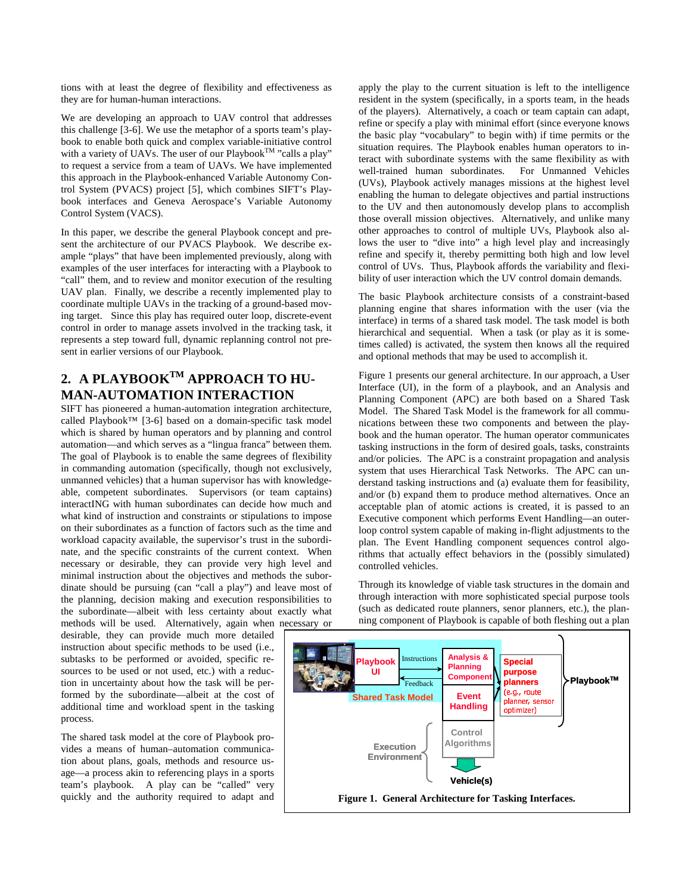tions with at least the degree of flexibility and effectiveness as they are for human-human interactions.

We are developing an approach to UAV control that addresses this challenge [3-6]. We use the metaphor of a sports team's playbook to enable both quick and complex variable-initiative control with a variety of UAVs. The user of our Playbook<sup>TM</sup> "calls a play" to request a service from a team of UAVs. We have implemented this approach in the Playbook-enhanced Variable Autonomy Control System (PVACS) project [5], which combines SIFT's Playbook interfaces and Geneva Aerospace's Variable Autonomy Control System (VACS).

In this paper, we describe the general Playbook concept and present the architecture of our PVACS Playbook. We describe example "plays" that have been implemented previously, along with examples of the user interfaces for interacting with a Playbook to "call" them, and to review and monitor execution of the resulting UAV plan. Finally, we describe a recently implemented play to coordinate multiple UAVs in the tracking of a ground-based moving target. Since this play has required outer loop, discrete-event control in order to manage assets involved in the tracking task, it represents a step toward full, dynamic replanning control not present in earlier versions of our Playbook.

## **2. A PLAYBOOKTM APPROACH TO HU-MAN-AUTOMATION INTERACTION**

SIFT has pioneered a human-automation integration architecture, called Playbook™ [3-6] based on a domain-specific task model which is shared by human operators and by planning and control automation—and which serves as a "lingua franca" between them. The goal of Playbook is to enable the same degrees of flexibility in commanding automation (specifically, though not exclusively, unmanned vehicles) that a human supervisor has with knowledgeable, competent subordinates. Supervisors (or team captains) interactING with human subordinates can decide how much and what kind of instruction and constraints or stipulations to impose on their subordinates as a function of factors such as the time and workload capacity available, the supervisor's trust in the subordinate, and the specific constraints of the current context. When necessary or desirable, they can provide very high level and minimal instruction about the objectives and methods the subordinate should be pursuing (can "call a play") and leave most of the planning, decision making and execution responsibilities to the subordinate—albeit with less certainty about exactly what methods will be used. Alternatively, again when necessary or

desirable, they can provide much more detailed instruction about specific methods to be used (i.e., subtasks to be performed or avoided, specific resources to be used or not used, etc.) with a reduction in uncertainty about how the task will be performed by the subordinate—albeit at the cost of additional time and workload spent in the tasking process.

The shared task model at the core of Playbook provides a means of human–automation communication about plans, goals, methods and resource usage—a process akin to referencing plays in a sports team's playbook. A play can be "called" very quickly and the authority required to adapt and apply the play to the current situation is left to the intelligence resident in the system (specifically, in a sports team, in the heads of the players). Alternatively, a coach or team captain can adapt, refine or specify a play with minimal effort (since everyone knows the basic play "vocabulary" to begin with) if time permits or the situation requires. The Playbook enables human operators to interact with subordinate systems with the same flexibility as with well-trained human subordinates. For Unmanned Vehicles (UVs), Playbook actively manages missions at the highest level enabling the human to delegate objectives and partial instructions to the UV and then autonomously develop plans to accomplish those overall mission objectives. Alternatively, and unlike many other approaches to control of multiple UVs, Playbook also allows the user to "dive into" a high level play and increasingly refine and specify it, thereby permitting both high and low level control of UVs. Thus, Playbook affords the variability and flexibility of user interaction which the UV control domain demands.

The basic Playbook architecture consists of a constraint-based planning engine that shares information with the user (via the interface) in terms of a shared task model. The task model is both hierarchical and sequential. When a task (or play as it is sometimes called) is activated, the system then knows all the required and optional methods that may be used to accomplish it.

Figure 1 presents our general architecture. In our approach, a User Interface (UI), in the form of a playbook, and an Analysis and Planning Component (APC) are both based on a Shared Task Model. The Shared Task Model is the framework for all communications between these two components and between the playbook and the human operator. The human operator communicates tasking instructions in the form of desired goals, tasks, constraints and/or policies. The APC is a constraint propagation and analysis system that uses Hierarchical Task Networks. The APC can understand tasking instructions and (a) evaluate them for feasibility, and/or (b) expand them to produce method alternatives. Once an acceptable plan of atomic actions is created, it is passed to an Executive component which performs Event Handling—an outerloop control system capable of making in-flight adjustments to the plan. The Event Handling component sequences control algorithms that actually effect behaviors in the (possibly simulated) controlled vehicles.

Through its knowledge of viable task structures in the domain and through interaction with more sophisticated special purpose tools (such as dedicated route planners, senor planners, etc.), the planning component of Playbook is capable of both fleshing out a plan

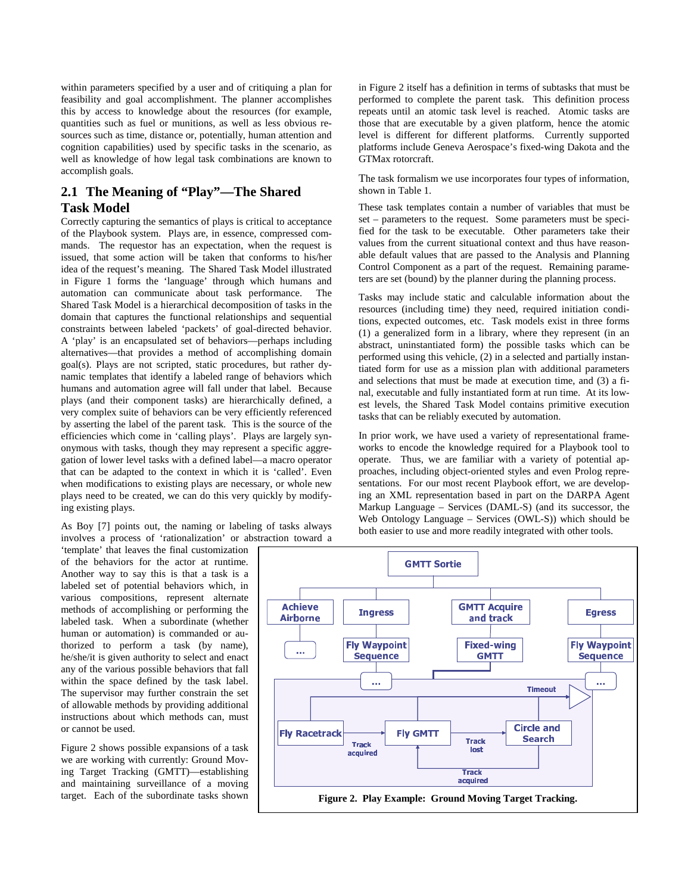within parameters specified by a user and of critiquing a plan for feasibility and goal accomplishment. The planner accomplishes this by access to knowledge about the resources (for example, quantities such as fuel or munitions, as well as less obvious resources such as time, distance or, potentially, human attention and cognition capabilities) used by specific tasks in the scenario, as well as knowledge of how legal task combinations are known to accomplish goals.

## **2.1 The Meaning of "Play"—The Shared Task Model**

Correctly capturing the semantics of plays is critical to acceptance of the Playbook system. Plays are, in essence, compressed commands. The requestor has an expectation, when the request is issued, that some action will be taken that conforms to his/her idea of the request's meaning. The Shared Task Model illustrated in Figure 1 forms the 'language' through which humans and automation can communicate about task performance. The Shared Task Model is a hierarchical decomposition of tasks in the domain that captures the functional relationships and sequential constraints between labeled 'packets' of goal-directed behavior. A 'play' is an encapsulated set of behaviors—perhaps including alternatives—that provides a method of accomplishing domain goal(s). Plays are not scripted, static procedures, but rather dynamic templates that identify a labeled range of behaviors which humans and automation agree will fall under that label. Because plays (and their component tasks) are hierarchically defined, a very complex suite of behaviors can be very efficiently referenced by asserting the label of the parent task. This is the source of the efficiencies which come in 'calling plays'. Plays are largely synonymous with tasks, though they may represent a specific aggregation of lower level tasks with a defined label—a macro operator that can be adapted to the context in which it is 'called'. Even when modifications to existing plays are necessary, or whole new plays need to be created, we can do this very quickly by modifying existing plays.

As Boy [7] points out, the naming or labeling of tasks always involves a process of 'rationalization' or abstraction toward a

'template' that leaves the final customization of the behaviors for the actor at runtime. Another way to say this is that a task is a labeled set of potential behaviors which, in various compositions, represent alternate methods of accomplishing or performing the labeled task. When a subordinate (whether human or automation) is commanded or authorized to perform a task (by name), he/she/it is given authority to select and enact any of the various possible behaviors that fall within the space defined by the task label. The supervisor may further constrain the set of allowable methods by providing additional instructions about which methods can, must or cannot be used.

Figure 2 shows possible expansions of a task we are working with currently: Ground Moving Target Tracking (GMTT)—establishing and maintaining surveillance of a moving target. Each of the subordinate tasks shown in Figure 2 itself has a definition in terms of subtasks that must be performed to complete the parent task. This definition process repeats until an atomic task level is reached. Atomic tasks are those that are executable by a given platform, hence the atomic level is different for different platforms. Currently supported platforms include Geneva Aerospace's fixed-wing Dakota and the GTMax rotorcraft.

The task formalism we use incorporates four types of information, shown in Table 1.

These task templates contain a number of variables that must be set – parameters to the request. Some parameters must be specified for the task to be executable. Other parameters take their values from the current situational context and thus have reasonable default values that are passed to the Analysis and Planning Control Component as a part of the request. Remaining parameters are set (bound) by the planner during the planning process.

Tasks may include static and calculable information about the resources (including time) they need, required initiation conditions, expected outcomes, etc. Task models exist in three forms (1) a generalized form in a library, where they represent (in an abstract, uninstantiated form) the possible tasks which can be performed using this vehicle, (2) in a selected and partially instantiated form for use as a mission plan with additional parameters and selections that must be made at execution time, and (3) a final, executable and fully instantiated form at run time. At its lowest levels, the Shared Task Model contains primitive execution tasks that can be reliably executed by automation.

In prior work, we have used a variety of representational frameworks to encode the knowledge required for a Playbook tool to operate. Thus, we are familiar with a variety of potential approaches, including object-oriented styles and even Prolog representations. For our most recent Playbook effort, we are developing an XML representation based in part on the DARPA Agent Markup Language – Services (DAML-S) (and its successor, the Web Ontology Language – Services (OWL-S)) which should be both easier to use and more readily integrated with other tools.

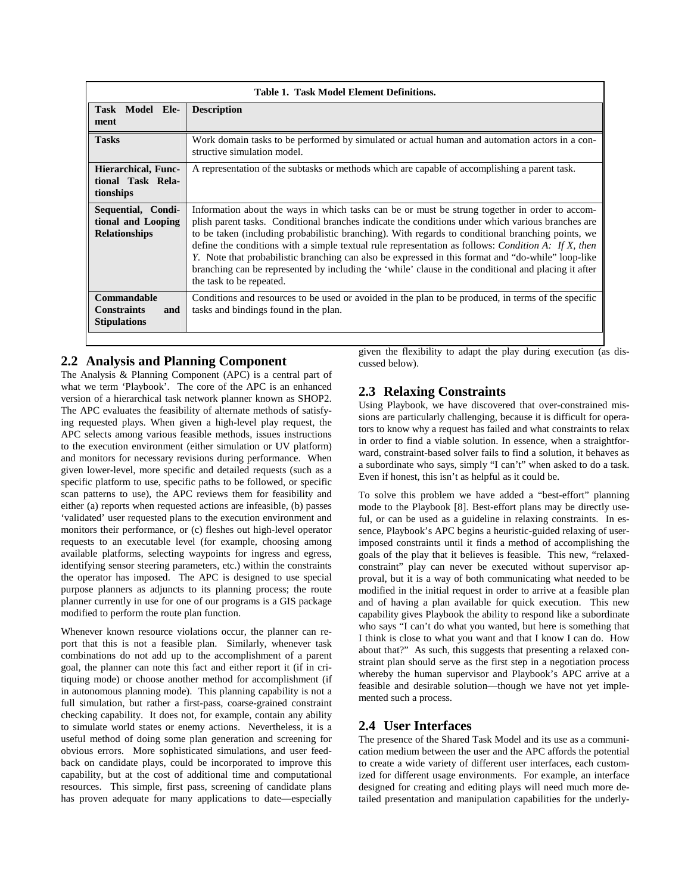| <b>Table 1. Task Model Element Definitions.</b>                  |                                                                                                                                                                                                                                                                                                                                                                                                                                                                                                                                                                                                                                                                  |
|------------------------------------------------------------------|------------------------------------------------------------------------------------------------------------------------------------------------------------------------------------------------------------------------------------------------------------------------------------------------------------------------------------------------------------------------------------------------------------------------------------------------------------------------------------------------------------------------------------------------------------------------------------------------------------------------------------------------------------------|
| Task Model Ele-<br>ment                                          | <b>Description</b>                                                                                                                                                                                                                                                                                                                                                                                                                                                                                                                                                                                                                                               |
| <b>Tasks</b>                                                     | Work domain tasks to be performed by simulated or actual human and automation actors in a con-<br>structive simulation model.                                                                                                                                                                                                                                                                                                                                                                                                                                                                                                                                    |
| <b>Hierarchical, Func-</b><br>tional Task Rela-<br>tionships     | A representation of the subtasks or methods which are capable of accomplishing a parent task.                                                                                                                                                                                                                                                                                                                                                                                                                                                                                                                                                                    |
| Sequential, Condi-<br>tional and Looping<br><b>Relationships</b> | Information about the ways in which tasks can be or must be strung together in order to accom-<br>plish parent tasks. Conditional branches indicate the conditions under which various branches are<br>to be taken (including probabilistic branching). With regards to conditional branching points, we<br>define the conditions with a simple textual rule representation as follows: <i>Condition A: If X, then</i><br>Y. Note that probabilistic branching can also be expressed in this format and "do-while" loop-like<br>branching can be represented by including the 'while' clause in the conditional and placing it after<br>the task to be repeated. |
| Commandable<br><b>Constraints</b><br>and<br><b>Stipulations</b>  | Conditions and resources to be used or avoided in the plan to be produced, in terms of the specific<br>tasks and bindings found in the plan.                                                                                                                                                                                                                                                                                                                                                                                                                                                                                                                     |

## **2.2 Analysis and Planning Component**

The Analysis & Planning Component (APC) is a central part of what we term 'Playbook'. The core of the APC is an enhanced version of a hierarchical task network planner known as SHOP2. The APC evaluates the feasibility of alternate methods of satisfying requested plays. When given a high-level play request, the APC selects among various feasible methods, issues instructions to the execution environment (either simulation or UV platform) and monitors for necessary revisions during performance. When given lower-level, more specific and detailed requests (such as a specific platform to use, specific paths to be followed, or specific scan patterns to use), the APC reviews them for feasibility and either (a) reports when requested actions are infeasible, (b) passes 'validated' user requested plans to the execution environment and monitors their performance, or (c) fleshes out high-level operator requests to an executable level (for example, choosing among available platforms, selecting waypoints for ingress and egress, identifying sensor steering parameters, etc.) within the constraints the operator has imposed. The APC is designed to use special purpose planners as adjuncts to its planning process; the route planner currently in use for one of our programs is a GIS package modified to perform the route plan function.

Whenever known resource violations occur, the planner can report that this is not a feasible plan. Similarly, whenever task combinations do not add up to the accomplishment of a parent goal, the planner can note this fact and either report it (if in critiquing mode) or choose another method for accomplishment (if in autonomous planning mode). This planning capability is not a full simulation, but rather a first-pass, coarse-grained constraint checking capability. It does not, for example, contain any ability to simulate world states or enemy actions. Nevertheless, it is a useful method of doing some plan generation and screening for obvious errors. More sophisticated simulations, and user feedback on candidate plays, could be incorporated to improve this capability, but at the cost of additional time and computational resources. This simple, first pass, screening of candidate plans has proven adequate for many applications to date—especially

given the flexibility to adapt the play during execution (as discussed below).

## **2.3 Relaxing Constraints**

Using Playbook, we have discovered that over-constrained missions are particularly challenging, because it is difficult for operators to know why a request has failed and what constraints to relax in order to find a viable solution. In essence, when a straightforward, constraint-based solver fails to find a solution, it behaves as a subordinate who says, simply "I can't" when asked to do a task. Even if honest, this isn't as helpful as it could be.

To solve this problem we have added a "best-effort" planning mode to the Playbook [8]. Best-effort plans may be directly useful, or can be used as a guideline in relaxing constraints. In essence, Playbook's APC begins a heuristic-guided relaxing of userimposed constraints until it finds a method of accomplishing the goals of the play that it believes is feasible. This new, "relaxedconstraint" play can never be executed without supervisor approval, but it is a way of both communicating what needed to be modified in the initial request in order to arrive at a feasible plan and of having a plan available for quick execution. This new capability gives Playbook the ability to respond like a subordinate who says "I can't do what you wanted, but here is something that I think is close to what you want and that I know I can do. How about that?" As such, this suggests that presenting a relaxed constraint plan should serve as the first step in a negotiation process whereby the human supervisor and Playbook's APC arrive at a feasible and desirable solution—though we have not yet implemented such a process.

## **2.4 User Interfaces**

The presence of the Shared Task Model and its use as a communication medium between the user and the APC affords the potential to create a wide variety of different user interfaces, each customized for different usage environments. For example, an interface designed for creating and editing plays will need much more detailed presentation and manipulation capabilities for the underly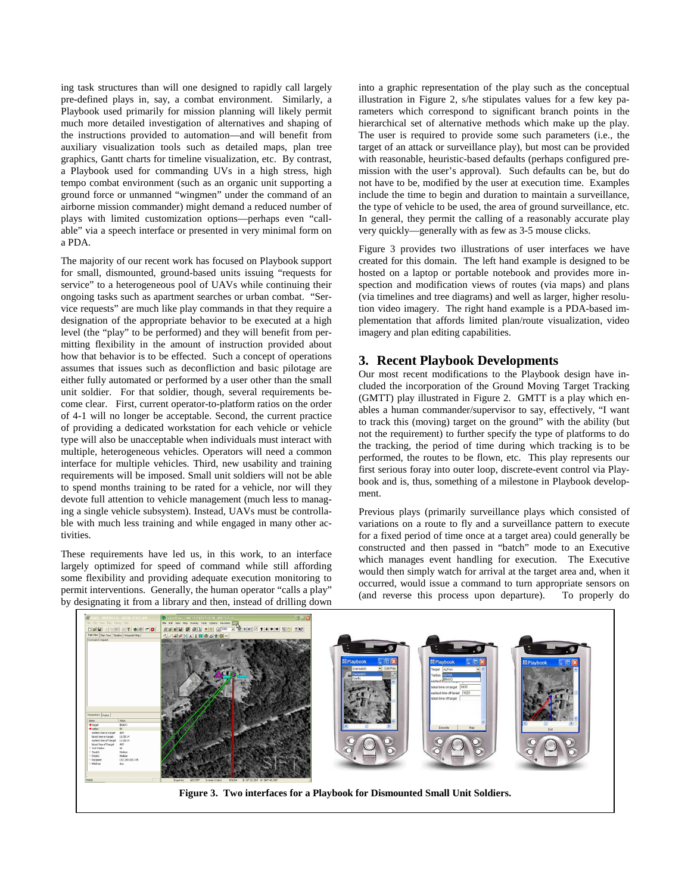ing task structures than will one designed to rapidly call largely pre-defined plays in, say, a combat environment. Similarly, a Playbook used primarily for mission planning will likely permit much more detailed investigation of alternatives and shaping of the instructions provided to automation—and will benefit from auxiliary visualization tools such as detailed maps, plan tree graphics, Gantt charts for timeline visualization, etc. By contrast, a Playbook used for commanding UVs in a high stress, high tempo combat environment (such as an organic unit supporting a ground force or unmanned "wingmen" under the command of an airborne mission commander) might demand a reduced number of plays with limited customization options—perhaps even "callable" via a speech interface or presented in very minimal form on a PDA.

The majority of our recent work has focused on Playbook support for small, dismounted, ground-based units issuing "requests for service" to a heterogeneous pool of UAVs while continuing their ongoing tasks such as apartment searches or urban combat. "Service requests" are much like play commands in that they require a designation of the appropriate behavior to be executed at a high level (the "play" to be performed) and they will benefit from permitting flexibility in the amount of instruction provided about how that behavior is to be effected. Such a concept of operations assumes that issues such as deconfliction and basic pilotage are either fully automated or performed by a user other than the small unit soldier. For that soldier, though, several requirements become clear. First, current operator-to-platform ratios on the order of 4-1 will no longer be acceptable. Second, the current practice of providing a dedicated workstation for each vehicle or vehicle type will also be unacceptable when individuals must interact with multiple, heterogeneous vehicles. Operators will need a common interface for multiple vehicles. Third, new usability and training requirements will be imposed. Small unit soldiers will not be able to spend months training to be rated for a vehicle, nor will they devote full attention to vehicle management (much less to managing a single vehicle subsystem). Instead, UAVs must be controllable with much less training and while engaged in many other activities.

These requirements have led us, in this work, to an interface largely optimized for speed of command while still affording some flexibility and providing adequate execution monitoring to permit interventions. Generally, the human operator "calls a play" by designating it from a library and then, instead of drilling down

into a graphic representation of the play such as the conceptual illustration in Figure 2, s/he stipulates values for a few key parameters which correspond to significant branch points in the hierarchical set of alternative methods which make up the play. The user is required to provide some such parameters (i.e., the target of an attack or surveillance play), but most can be provided with reasonable, heuristic-based defaults (perhaps configured premission with the user's approval). Such defaults can be, but do not have to be, modified by the user at execution time. Examples include the time to begin and duration to maintain a surveillance, the type of vehicle to be used, the area of ground surveillance, etc. In general, they permit the calling of a reasonably accurate play very quickly—generally with as few as 3-5 mouse clicks.

Figure 3 provides two illustrations of user interfaces we have created for this domain. The left hand example is designed to be hosted on a laptop or portable notebook and provides more inspection and modification views of routes (via maps) and plans (via timelines and tree diagrams) and well as larger, higher resolution video imagery. The right hand example is a PDA-based implementation that affords limited plan/route visualization, video imagery and plan editing capabilities.

## **3. Recent Playbook Developments**

Our most recent modifications to the Playbook design have included the incorporation of the Ground Moving Target Tracking (GMTT) play illustrated in Figure 2. GMTT is a play which enables a human commander/supervisor to say, effectively, "I want to track this (moving) target on the ground" with the ability (but not the requirement) to further specify the type of platforms to do the tracking, the period of time during which tracking is to be performed, the routes to be flown, etc. This play represents our first serious foray into outer loop, discrete-event control via Playbook and is, thus, something of a milestone in Playbook development.

Previous plays (primarily surveillance plays which consisted of variations on a route to fly and a surveillance pattern to execute for a fixed period of time once at a target area) could generally be constructed and then passed in "batch" mode to an Executive which manages event handling for execution. The Executive would then simply watch for arrival at the target area and, when it occurred, would issue a command to turn appropriate sensors on (and reverse this process upon departure). To properly do

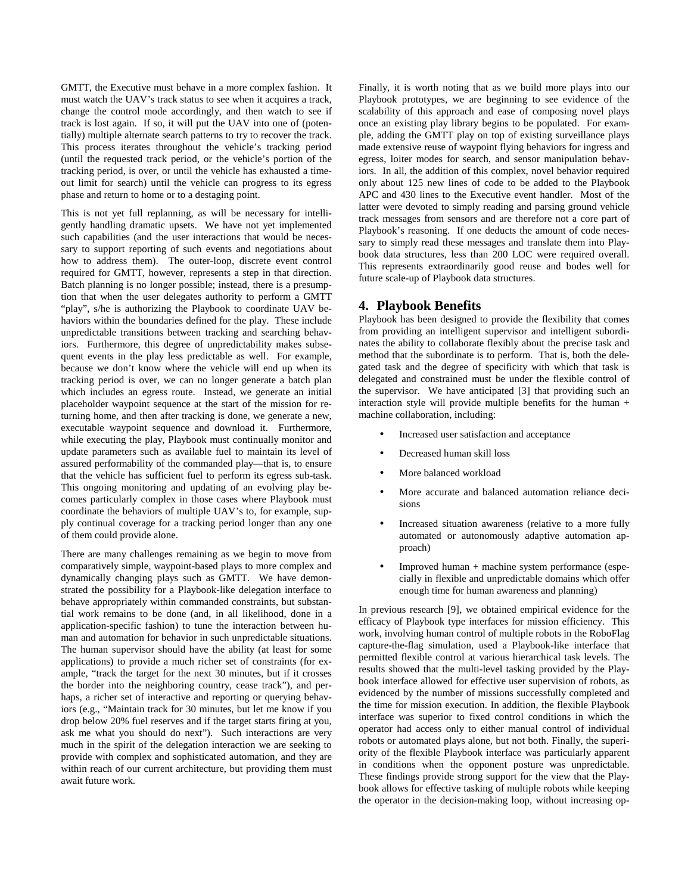GMTT, the Executive must behave in a more complex fashion. It must watch the UAV's track status to see when it acquires a track, change the control mode accordingly, and then watch to see if track is lost again. If so, it will put the UAV into one of (potentially) multiple alternate search patterns to try to recover the track. This process iterates throughout the vehicle's tracking period (until the requested track period, or the vehicle's portion of the tracking period, is over, or until the vehicle has exhausted a timeout limit for search) until the vehicle can progress to its egress phase and return to home or to a destaging point.

This is not yet full replanning, as will be necessary for intelligently handling dramatic upsets. We have not yet implemented such capabilities (and the user interactions that would be necessary to support reporting of such events and negotiations about how to address them). The outer-loop, discrete event control required for GMTT, however, represents a step in that direction. Batch planning is no longer possible; instead, there is a presumption that when the user delegates authority to perform a GMTT "play", s/he is authorizing the Playbook to coordinate UAV behaviors within the boundaries defined for the play. These include unpredictable transitions between tracking and searching behaviors. Furthermore, this degree of unpredictability makes subsequent events in the play less predictable as well. For example, because we don't know where the vehicle will end up when its tracking period is over, we can no longer generate a batch plan which includes an egress route. Instead, we generate an initial placeholder waypoint sequence at the start of the mission for returning home, and then after tracking is done, we generate a new, executable waypoint sequence and download it. Furthermore, while executing the play, Playbook must continually monitor and update parameters such as available fuel to maintain its level of assured performability of the commanded play—that is, to ensure that the vehicle has sufficient fuel to perform its egress sub-task. This ongoing monitoring and updating of an evolving play becomes particularly complex in those cases where Playbook must coordinate the behaviors of multiple UAV's to, for example, supply continual coverage for a tracking period longer than any one of them could provide alone.

There are many challenges remaining as we begin to move from comparatively simple, waypoint-based plays to more complex and dynamically changing plays such as GMTT. We have demonstrated the possibility for a Playbook-like delegation interface to behave appropriately within commanded constraints, but substantial work remains to be done (and, in all likelihood, done in a application-specific fashion) to tune the interaction between human and automation for behavior in such unpredictable situations. The human supervisor should have the ability (at least for some applications) to provide a much richer set of constraints (for example, "track the target for the next 30 minutes, but if it crosses the border into the neighboring country, cease track"), and perhaps, a richer set of interactive and reporting or querying behaviors (e.g., "Maintain track for 30 minutes, but let me know if you drop below 20% fuel reserves and if the target starts firing at you, ask me what you should do next"). Such interactions are very much in the spirit of the delegation interaction we are seeking to provide with complex and sophisticated automation, and they are within reach of our current architecture, but providing them must await future work.

Finally, it is worth noting that as we build more plays into our Playbook prototypes, we are beginning to see evidence of the scalability of this approach and ease of composing novel plays once an existing play library begins to be populated. For example, adding the GMTT play on top of existing surveillance plays made extensive reuse of waypoint flying behaviors for ingress and egress, loiter modes for search, and sensor manipulation behaviors. In all, the addition of this complex, novel behavior required only about 125 new lines of code to be added to the Playbook APC and 430 lines to the Executive event handler. Most of the latter were devoted to simply reading and parsing ground vehicle track messages from sensors and are therefore not a core part of Playbook's reasoning. If one deducts the amount of code necessary to simply read these messages and translate them into Playbook data structures, less than 200 LOC were required overall. This represents extraordinarily good reuse and bodes well for future scale-up of Playbook data structures.

#### **4. Playbook Benefits**

Playbook has been designed to provide the flexibility that comes from providing an intelligent supervisor and intelligent subordinates the ability to collaborate flexibly about the precise task and method that the subordinate is to perform. That is, both the delegated task and the degree of specificity with which that task is delegated and constrained must be under the flexible control of the supervisor. We have anticipated [3] that providing such an interaction style will provide multiple benefits for the human + machine collaboration, including:

- Increased user satisfaction and acceptance
- Decreased human skill loss
- More balanced workload
- More accurate and balanced automation reliance decisions
- Increased situation awareness (relative to a more fully automated or autonomously adaptive automation approach)
- Improved human + machine system performance (especially in flexible and unpredictable domains which offer enough time for human awareness and planning)

In previous research [9], we obtained empirical evidence for the efficacy of Playbook type interfaces for mission efficiency. This work, involving human control of multiple robots in the RoboFlag capture-the-flag simulation, used a Playbook-like interface that permitted flexible control at various hierarchical task levels. The results showed that the multi-level tasking provided by the Playbook interface allowed for effective user supervision of robots, as evidenced by the number of missions successfully completed and the time for mission execution. In addition, the flexible Playbook interface was superior to fixed control conditions in which the operator had access only to either manual control of individual robots or automated plays alone, but not both. Finally, the superiority of the flexible Playbook interface was particularly apparent in conditions when the opponent posture was unpredictable. These findings provide strong support for the view that the Playbook allows for effective tasking of multiple robots while keeping the operator in the decision-making loop, without increasing op